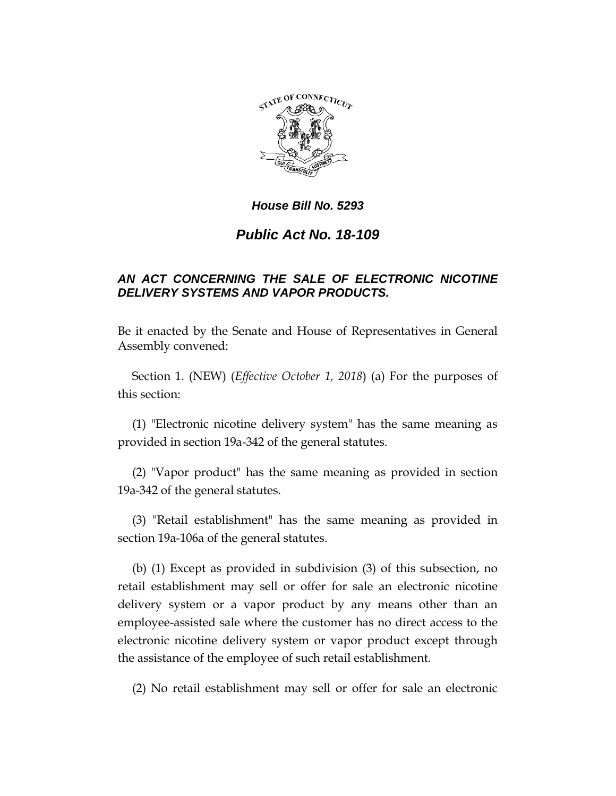

## *House Bill No. 5293*

## *Public Act No. 18-109*

## *AN ACT CONCERNING THE SALE OF ELECTRONIC NICOTINE DELIVERY SYSTEMS AND VAPOR PRODUCTS.*

Be it enacted by the Senate and House of Representatives in General Assembly convened:

Section 1. (NEW) (*Effective October 1, 2018*) (a) For the purposes of this section:

(1) "Electronic nicotine delivery system" has the same meaning as provided in section 19a-342 of the general statutes.

(2) "Vapor product" has the same meaning as provided in section 19a-342 of the general statutes.

(3) "Retail establishment" has the same meaning as provided in section 19a-106a of the general statutes.

(b) (1) Except as provided in subdivision (3) of this subsection, no retail establishment may sell or offer for sale an electronic nicotine delivery system or a vapor product by any means other than an employee-assisted sale where the customer has no direct access to the electronic nicotine delivery system or vapor product except through the assistance of the employee of such retail establishment.

(2) No retail establishment may sell or offer for sale an electronic